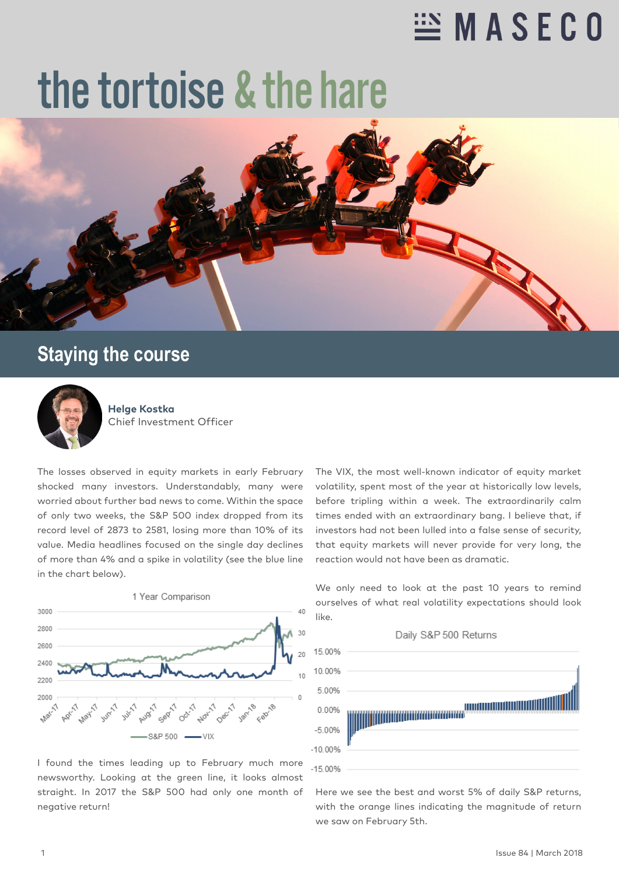## $\cong$  MASECO

## the tortoise & the hare



## **Staying the course**



**Helge Kostka** Chief Investment Officer

The losses observed in equity markets in early February shocked many investors. Understandably, many were worried about further bad news to come. Within the space of only two weeks, the S&P 500 index dropped from its record level of 2873 to 2581, losing more than 10% of its value. Media headlines focused on the single day declines of more than 4% and a spike in volatility (see the blue line in the chart below).



I found the times leading up to February much more newsworthy. Looking at the green line, it looks almost straight. In 2017 the S&P 500 had only one month of negative return!

The VIX, the most well-known indicator of equity market volatility, spent most of the year at historically low levels, before tripling within a week. The extraordinarily calm times ended with an extraordinary bang. I believe that, if investors had not been lulled into a false sense of security, that equity markets will never provide for very long, the reaction would not have been as dramatic.

Daily S&P 500 Returns 15.00% 10.00% 5.00% **ANTIONALISTICITY** 0.00% <u> Hilli Mühlümünü yazımını</u>  $-5.00%$  $-10.00%$  $-15.00%$ 

Here we see the best and worst 5% of daily S&P returns, with the orange lines indicating the magnitude of return

we saw on February 5th.

We only need to look at the past 10 years to remind ourselves of what real volatility expectations should look like.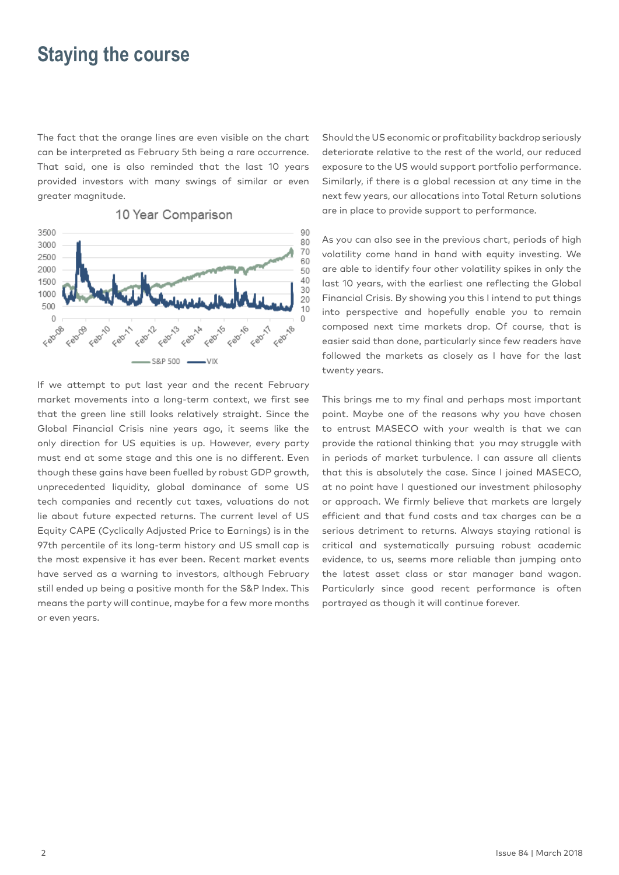## **Staying the course**

The fact that the orange lines are even visible on the chart can be interpreted as February 5th being a rare occurrence. That said, one is also reminded that the last 10 years provided investors with many swings of similar or even greater magnitude.



10 Year Comparison

If we attempt to put last year and the recent February market movements into a long-term context, we first see that the green line still looks relatively straight. Since the Global Financial Crisis nine years ago, it seems like the only direction for US equities is up. However, every party must end at some stage and this one is no different. Even though these gains have been fuelled by robust GDP growth, unprecedented liquidity, global dominance of some US tech companies and recently cut taxes, valuations do not lie about future expected returns. The current level of US Equity CAPE (Cyclically Adjusted Price to Earnings) is in the 97th percentile of its long-term history and US small cap is the most expensive it has ever been. Recent market events have served as a warning to investors, although February still ended up being a positive month for the S&P Index. This means the party will continue, maybe for a few more months or even years.

Should the US economic or profitability backdrop seriously deteriorate relative to the rest of the world, our reduced exposure to the US would support portfolio performance. Similarly, if there is a global recession at any time in the next few years, our allocations into Total Return solutions are in place to provide support to performance.

As you can also see in the previous chart, periods of high volatility come hand in hand with equity investing. We are able to identify four other volatility spikes in only the last 10 years, with the earliest one reflecting the Global Financial Crisis. By showing you this I intend to put things into perspective and hopefully enable you to remain composed next time markets drop. Of course, that is easier said than done, particularly since few readers have followed the markets as closely as I have for the last twenty years.

This brings me to my final and perhaps most important point. Maybe one of the reasons why you have chosen to entrust MASECO with your wealth is that we can provide the rational thinking that you may struggle with in periods of market turbulence. I can assure all clients that this is absolutely the case. Since I joined MASECO, at no point have I questioned our investment philosophy or approach. We firmly believe that markets are largely efficient and that fund costs and tax charges can be a serious detriment to returns. Always staying rational is critical and systematically pursuing robust academic evidence, to us, seems more reliable than jumping onto the latest asset class or star manager band wagon. Particularly since good recent performance is often portrayed as though it will continue forever.